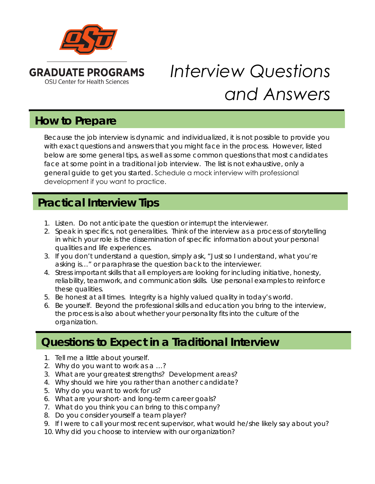

## *Interview Questions and Answers*

## **How to Prepare**

Because the job interview is dynamic and individualized, it is not possible to provide you with exact questions and answers that you might face in the process. However, listed below are some general tips, as well as some common questions that most candidates face at some point in a traditional job interview. The list is not exhaustive, only a general guide to get you started. Schedule a mock interview with professional development if you want to practice.

## **Practical Interview Tips**

- 1. Listen. Do not anticipate the question or interrupt the interviewer.
- 2. Speak in specifics, not generalities. Think of the interview as a process of storytelling in which your role is the dissemination of specific information about your personal qualities and life experiences.
- 3. If you don't understand a question, simply ask, "Just so I understand, what you're asking is…" or paraphrase the question back to the interviewer.
- 4. Stress important skills that all employers are looking for including initiative, honesty, reliability, teamwork, and communication skills. Use personal examples to reinforce these qualities.
- 5. Be honest at all times. Integrity is a highly valued quality in today's world.
- 6. Be yourself. Beyond the professional skills and education you bring to the interview, the process is also about whether your personality fits into the culture of the organization.

## **Questions to Expect in a Traditional Interview**

- 1. Tell me a little about yourself.
- 2. Why do you want to work as a …?
- 3. What are your greatest strengths? Development areas?
- 4. Why should we hire you rather than another candidate?
- 5. Why do you want to work for us?
- 6. What are your short- and long-term career goals?
- 7. What do you think you can bring to this company?
- 8. Do you consider yourself a team player?
- 9. If I were to call your most recent supervisor, what would he/she likely say about you?
- 10. Why did you choose to interview with our organization?